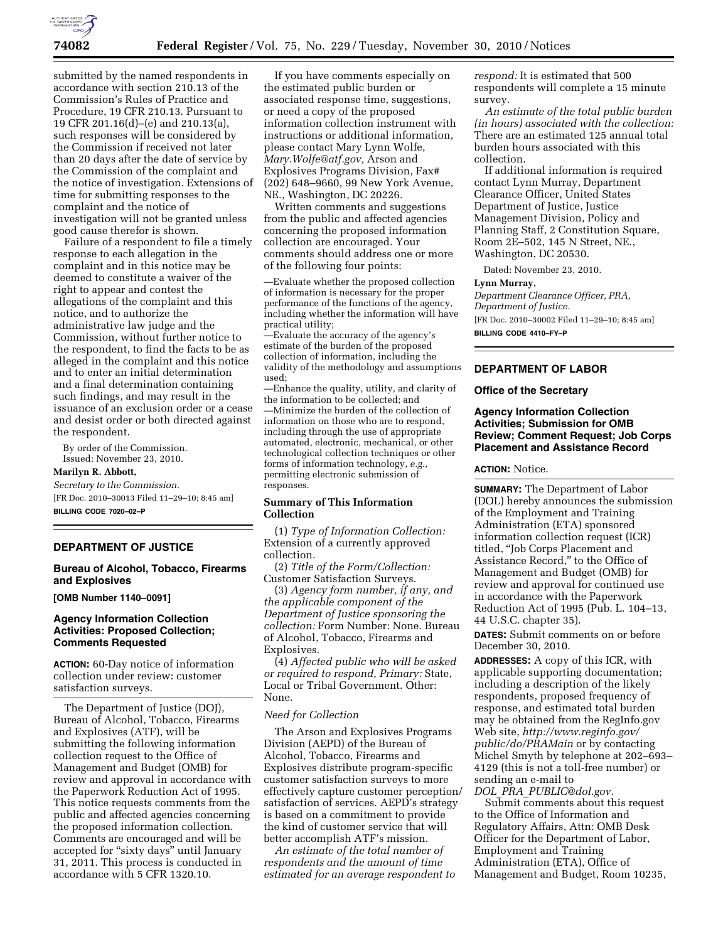

submitted by the named respondents in accordance with section 210.13 of the Commission's Rules of Practice and Procedure, 19 CFR 210.13. Pursuant to 19 CFR 201.16(d)–(e) and 210.13(a), such responses will be considered by the Commission if received not later than 20 days after the date of service by the Commission of the complaint and the notice of investigation. Extensions of time for submitting responses to the complaint and the notice of investigation will not be granted unless good cause therefor is shown.

Failure of a respondent to file a timely response to each allegation in the complaint and in this notice may be deemed to constitute a waiver of the right to appear and contest the allegations of the complaint and this notice, and to authorize the administrative law judge and the Commission, without further notice to the respondent, to find the facts to be as alleged in the complaint and this notice and to enter an initial determination and a final determination containing such findings, and may result in the issuance of an exclusion order or a cease and desist order or both directed against the respondent.

By order of the Commission. Issued: November 23, 2010.

#### **Marilyn R. Abbott,**

*Secretary to the Commission.*  [FR Doc. 2010–30013 Filed 11–29–10; 8:45 am] **BILLING CODE 7020–02–P** 

# **DEPARTMENT OF JUSTICE**

# **Bureau of Alcohol, Tobacco, Firearms and Explosives**

**[OMB Number 1140–0091]** 

### **Agency Information Collection Activities: Proposed Collection; Comments Requested**

**ACTION:** 60-Day notice of information collection under review: customer satisfaction surveys.

The Department of Justice (DOJ), Bureau of Alcohol, Tobacco, Firearms and Explosives (ATF), will be submitting the following information collection request to the Office of Management and Budget (OMB) for review and approval in accordance with the Paperwork Reduction Act of 1995. This notice requests comments from the public and affected agencies concerning the proposed information collection. Comments are encouraged and will be accepted for "sixty days" until January 31, 2011. This process is conducted in accordance with 5 CFR 1320.10.

If you have comments especially on the estimated public burden or associated response time, suggestions, or need a copy of the proposed information collection instrument with instructions or additional information, please contact Mary Lynn Wolfe, *[Mary.Wolfe@atf.gov,](mailto:Mary.Wolfe@atf.gov)* Arson and Explosives Programs Division, Fax# (202) 648–9660, 99 New York Avenue, NE., Washington, DC 20226.

Written comments and suggestions from the public and affected agencies concerning the proposed information collection are encouraged. Your comments should address one or more of the following four points:

—Evaluate whether the proposed collection of information is necessary for the proper performance of the functions of the agency, including whether the information will have practical utility;

—Evaluate the accuracy of the agency's estimate of the burden of the proposed collection of information, including the validity of the methodology and assumptions used;

—Enhance the quality, utility, and clarity of the information to be collected; and

—Minimize the burden of the collection of information on those who are to respond, including through the use of appropriate automated, electronic, mechanical, or other technological collection techniques or other forms of information technology, *e.g.,*  permitting electronic submission of responses.

# **Summary of This Information Collection**

(1) *Type of Information Collection:*  Extension of a currently approved collection.

(2) *Title of the Form/Collection:*  Customer Satisfaction Surveys.

(3) *Agency form number, if any, and the applicable component of the Department of Justice sponsoring the collection:* Form Number: None. Bureau of Alcohol, Tobacco, Firearms and Explosives.

(4) *Affected public who will be asked or required to respond, Primary:* State, Local or Tribal Government. Other: None.

### *Need for Collection*

The Arson and Explosives Programs Division (AEPD) of the Bureau of Alcohol, Tobacco, Firearms and Explosives distribute program-specific customer satisfaction surveys to more effectively capture customer perception/ satisfaction of services. AEPD's strategy is based on a commitment to provide the kind of customer service that will better accomplish ATF's mission.

*An estimate of the total number of respondents and the amount of time estimated for an average respondent to*  *respond:* It is estimated that 500 respondents will complete a 15 minute survey.

*An estimate of the total public burden (in hours) associated with the collection:*  There are an estimated 125 annual total burden hours associated with this collection.

If additional information is required contact Lynn Murray, Department Clearance Officer, United States Department of Justice, Justice Management Division, Policy and Planning Staff, 2 Constitution Square, Room 2E–502, 145 N Street, NE., Washington, DC 20530.

Dated: November 23, 2010.

#### **Lynn Murray,**

*Department Clearance Officer, PRA, Department of Justice.*  [FR Doc. 2010–30002 Filed 11–29–10; 8:45 am] **BILLING CODE 4410–FY–P** 

### **DEPARTMENT OF LABOR**

#### **Office of the Secretary**

# **Agency Information Collection Activities; Submission for OMB Review; Comment Request; Job Corps Placement and Assistance Record**

**ACTION:** Notice.

**SUMMARY:** The Department of Labor (DOL) hereby announces the submission of the Employment and Training Administration (ETA) sponsored information collection request (ICR) titled, ''Job Corps Placement and Assistance Record,'' to the Office of Management and Budget (OMB) for review and approval for continued use in accordance with the Paperwork Reduction Act of 1995 (Pub. L. 104–13, 44 U.S.C. chapter 35).

**DATES:** Submit comments on or before December 30, 2010.

**ADDRESSES:** A copy of this ICR, with applicable supporting documentation; including a description of the likely respondents, proposed frequency of response, and estimated total burden may be obtained from the RegInfo.gov Web site, *[http://www.reginfo.gov/](http://www.reginfo.gov/public/do/PRAMain)  [public/do/PRAMain](http://www.reginfo.gov/public/do/PRAMain)* or by contacting Michel Smyth by telephone at 202–693– 4129 (this is not a toll-free number) or sending an e-mail to *DOL*\_*PRA*\_*[PUBLIC@dol.gov.](mailto:DOL_PRA_PUBLIC@dol.gov)* 

Submit comments about this request to the Office of Information and Regulatory Affairs, Attn: OMB Desk Officer for the Department of Labor, Employment and Training Administration (ETA), Office of Management and Budget, Room 10235,